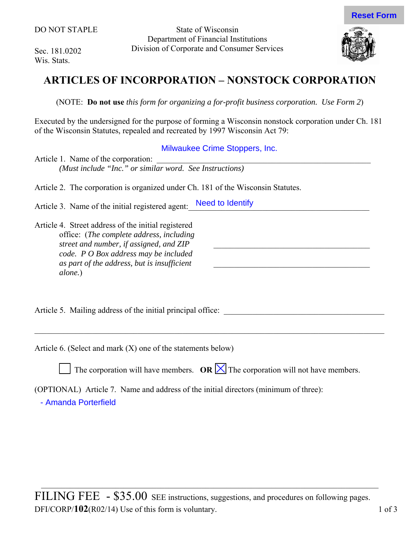Sec. 181.0202 Wis. Stats.

State of Wisconsin Department of Financial Institutions Division of Corporate and Consumer Services



# **ARTICLES OF INCORPORATION – NONSTOCK CORPORATION**

(NOTE: **Do not use** *this form for organizing a for-profit business corporation. Use Form 2*)

Executed by the undersigned for the purpose of forming a Wisconsin nonstock corporation under Ch. 181 of the Wisconsin Statutes, repealed and recreated by 1997 Wisconsin Act 79:

Milwaukee Crime Stoppers, Inc.

 $\mathcal{L}_\text{max}$  and  $\mathcal{L}_\text{max}$  and  $\mathcal{L}_\text{max}$  and  $\mathcal{L}_\text{max}$ 

 $\mathcal{L}_\text{max}$ 

Article 1. Name of the corporation: *(Must include "Inc." or similar word. See Instructions)* 

Article 2. The corporation is organized under Ch. 181 of the Wisconsin Statutes.

Article 3. Name of the initial registered agent: Need to Identify

Article 4. Street address of the initial registered office: (*The complete address, including street and number, if assigned, and ZIP code. P O Box address may be included as part of the address, but is insufficient alone.*)

Article 5. Mailing address of the initial principal office:

Article 6. (Select and mark (X) one of the statements below)

The corporation will have members.  $OR \times$  The corporation will not have members.

 $\_$  , and the contribution of the contribution of the contribution of the contribution of  $\mathcal{L}_\text{max}$ 

(OPTIONAL) Article 7. Name and address of the initial directors (minimum of three):

- Amanda Porterfield

 $\mathcal{L}_\mathcal{L} = \mathcal{L}_\mathcal{L} = \mathcal{L}_\mathcal{L} = \mathcal{L}_\mathcal{L} = \mathcal{L}_\mathcal{L} = \mathcal{L}_\mathcal{L} = \mathcal{L}_\mathcal{L} = \mathcal{L}_\mathcal{L} = \mathcal{L}_\mathcal{L} = \mathcal{L}_\mathcal{L} = \mathcal{L}_\mathcal{L} = \mathcal{L}_\mathcal{L} = \mathcal{L}_\mathcal{L} = \mathcal{L}_\mathcal{L} = \mathcal{L}_\mathcal{L} = \mathcal{L}_\mathcal{L} = \mathcal{L}_\mathcal{L}$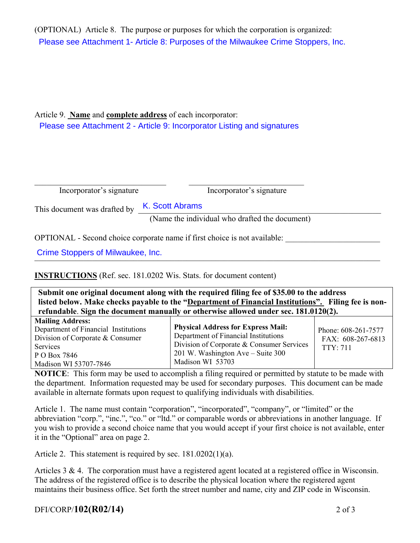(OPTIONAL) Article 8. The purpose or purposes for which the corporation is organized: Please see Attachment 1- Article 8: Purposes of the Milwaukee Crime Stoppers, Inc.

## Article 9. **Name** and **complete address** of each incorporator: Please see Attachment 2 - Article 9: Incorporator Listing and signatures

| Incorporator's signature                                                                       |
|------------------------------------------------------------------------------------------------|
| This document was drafted by K. Scott Abrams<br>(Name the individual who drafted the document) |
| Incorporator's signature                                                                       |

OPTIONAL - Second choice corporate name if first choice is not available:

Crime Stoppers of Milwaukee, Inc.

**INSTRUCTIONS** (Ref. sec. 181.0202 Wis. Stats. for document content)

| Submit one original document along with the required filing fee of \$35.00 to the address<br>listed below. Make checks payable to the "Department of Financial Institutions". Filing fee is non-<br>refundable. Sign the document manually or otherwise allowed under sec. 181.0120(2). |                                                                                                                                                                                         |                                                             |
|-----------------------------------------------------------------------------------------------------------------------------------------------------------------------------------------------------------------------------------------------------------------------------------------|-----------------------------------------------------------------------------------------------------------------------------------------------------------------------------------------|-------------------------------------------------------------|
| <b>Mailing Address:</b><br>Department of Financial Institutions<br>Division of Corporate & Consumer<br><b>Services</b><br>P O Box 7846<br>Madison WI 53707-7846                                                                                                                         | <b>Physical Address for Express Mail:</b><br>Department of Financial Institutions<br>Division of Corporate & Consumer Services<br>201 W. Washington Ave – Suite 300<br>Madison WI 53703 | Phone: 608-261-7577<br>FAX: 608-267-6813<br><b>TTY: 711</b> |

**NOTICE**: This form may be used to accomplish a filing required or permitted by statute to be made with the department. Information requested may be used for secondary purposes. This document can be made available in alternate formats upon request to qualifying individuals with disabilities.

Article 1. The name must contain "corporation", "incorporated", "company", or "limited" or the abbreviation "corp.", "inc.", "co." or "ltd." or comparable words or abbreviations in another language. If you wish to provide a second choice name that you would accept if your first choice is not available, enter it in the "Optional" area on page 2.

Article 2. This statement is required by sec. 181.0202(1)(a).

Articles 3 & 4. The corporation must have a registered agent located at a registered office in Wisconsin. The address of the registered office is to describe the physical location where the registered agent maintains their business office. Set forth the street number and name, city and ZIP code in Wisconsin.

# DFI/CORP/**102(R02/14)** 2 of 3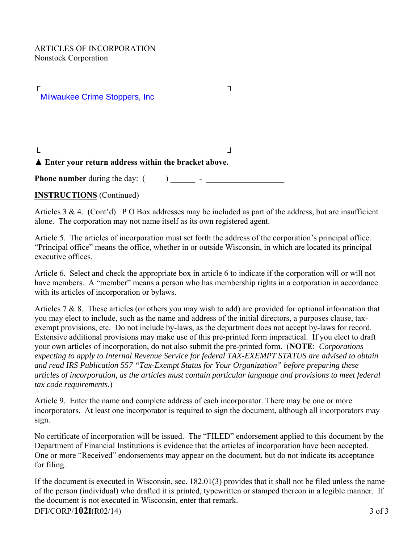$\Gamma$  , and  $\Gamma$ └ ┘ Milwaukee Crime Stoppers, Inc

#### ▲ **Enter your return address within the bracket above.**

**Phone number** during the day: ( ) \_\_\_\_\_\_ - \_\_\_\_\_\_\_\_\_\_\_\_\_\_\_\_\_\_\_

### **INSTRUCTIONS** (Continued)

Articles  $3 \& 4$ . (Cont'd) P O Box addresses may be included as part of the address, but are insufficient alone. The corporation may not name itself as its own registered agent.

Article 5. The articles of incorporation must set forth the address of the corporation's principal office. "Principal office" means the office, whether in or outside Wisconsin, in which are located its principal executive offices.

Article 6. Select and check the appropriate box in article 6 to indicate if the corporation will or will not have members. A "member" means a person who has membership rights in a corporation in accordance with its articles of incorporation or bylaws.

Articles 7 & 8. These articles (or others you may wish to add) are provided for optional information that you may elect to include, such as the name and address of the initial directors, a purposes clause, taxexempt provisions, etc. Do not include by-laws, as the department does not accept by-laws for record. Extensive additional provisions may make use of this pre-printed form impractical. If you elect to draft your own articles of incorporation, do not also submit the pre-printed form. (**NOTE**: *Corporations expecting to apply to Internal Revenue Service for federal TAX-EXEMPT STATUS are advised to obtain and read IRS Publication 557 "Tax-Exempt Status for Your Organization" before preparing these articles of incorporation, as the articles must contain particular language and provisions to meet federal tax code requirements.*)

Article 9. Enter the name and complete address of each incorporator. There may be one or more incorporators. At least one incorporator is required to sign the document, although all incorporators may sign.

No certificate of incorporation will be issued. The "FILED" endorsement applied to this document by the Department of Financial Institutions is evidence that the articles of incorporation have been accepted. One or more "Received" endorsements may appear on the document, but do not indicate its acceptance for filing.

If the document is executed in Wisconsin, sec. 182.01(3) provides that it shall not be filed unless the name of the person (individual) who drafted it is printed, typewritten or stamped thereon in a legible manner. If the document is not executed in Wisconsin, enter that remark. DFI/CORP/**102I**(R02/14) 3 of 3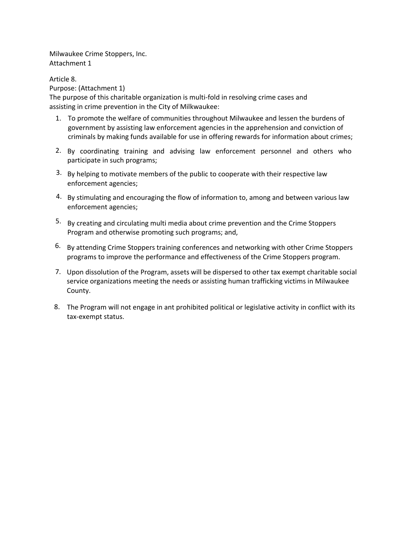Milwaukee Crime Stoppers, Inc. Attachment 1

Article 8. Purpose: (Attachment 1) The purpose of this charitable organization is multi-fold in resolving crime cases and assisting in crime prevention in the City of Milkwaukee:

- 1. To promote the welfare of communities throughout Milwaukee and lessen the burdens of government by assisting law enforcement agencies in the apprehension and conviction of criminals by making funds available for use in offering rewards for information about crimes;
- 2. By coordinating training and advising law enforcement personnel and others who participate in such programs;
- $3.$  By helping to motivate members of the public to cooperate with their respective law enforcement agencies;
- 4. By stimulating and encouraging the flow of information to, among and between various law enforcement agencies;
- 5. By creating and circulating multi media about crime prevention and the Crime Stoppers Program and otherwise promoting such programs; and,
- <sup>6.</sup> By attending Crime Stoppers training conferences and networking with other Crime Stoppers programs to improve the performance and effectiveness of the Crime Stoppers program.
- 7. Upon dissolution of the Program, assets will be dispersed to other tax exempt charitable social service organizations meeting the needs or assisting human trafficking victims in Milwaukee County.
- 8. The Program will not engage in ant prohibited political or legislative activity in conflict with its tax-exempt status.